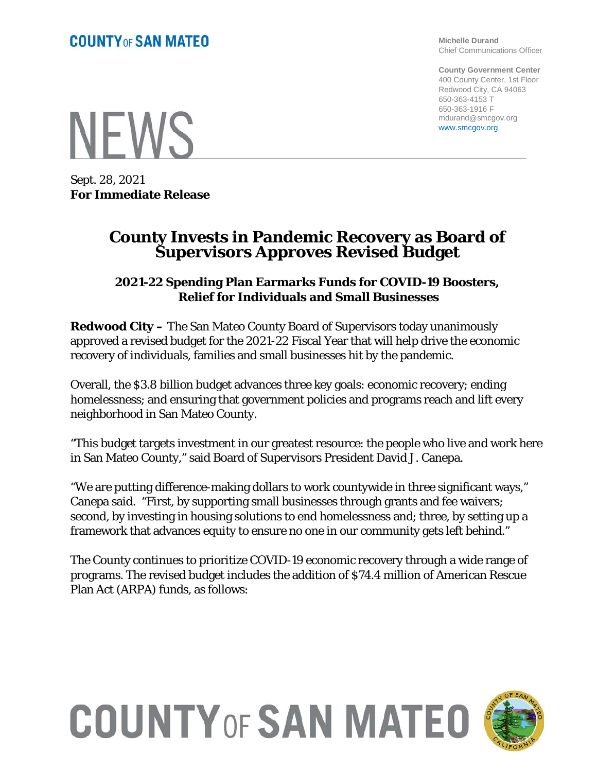**Michelle Durand** Chief Communications Officer

**County Government Center** 400 County Center, 1st Floor Redwood City, CA 94063 650-363-4153 T 650-363-1916 F mdurand@smcgov.org www.smcgov.org

**NEWS** 

Sept. 28, 2021 **For Immediate Release**

### **County Invests in Pandemic Recovery as Board of Supervisors Approves Revised Budget**

#### **2021-22 Spending Plan Earmarks Funds for COVID-19 Boosters, Relief for Individuals and Small Businesses**

**Redwood City –** The San Mateo County Board of Supervisors today unanimously approved a revised budget for the 2021-22 Fiscal Year that will help drive the economic recovery of individuals, families and small businesses hit by the pandemic.

Overall, the \$3.8 billion budget advances three key goals: economic recovery; ending homelessness; and ensuring that government policies and programs reach and lift every neighborhood in San Mateo County.

"This budget targets investment in our greatest resource: the people who live and work here in San Mateo County," said Board of Supervisors President David J. Canepa.

"We are putting difference-making dollars to work countywide in three significant ways," Canepa said. "First, by supporting small businesses through grants and fee waivers; second, by investing in housing solutions to end homelessness and; three, by setting up a framework that advances equity to ensure no one in our community gets left behind."

The County continues to prioritize COVID-19 economic recovery through a wide range of programs. The revised budget includes the addition of \$74.4 million of American Rescue Plan Act (ARPA) funds, as follows:

# **COUNTY OF SAN MATEO**

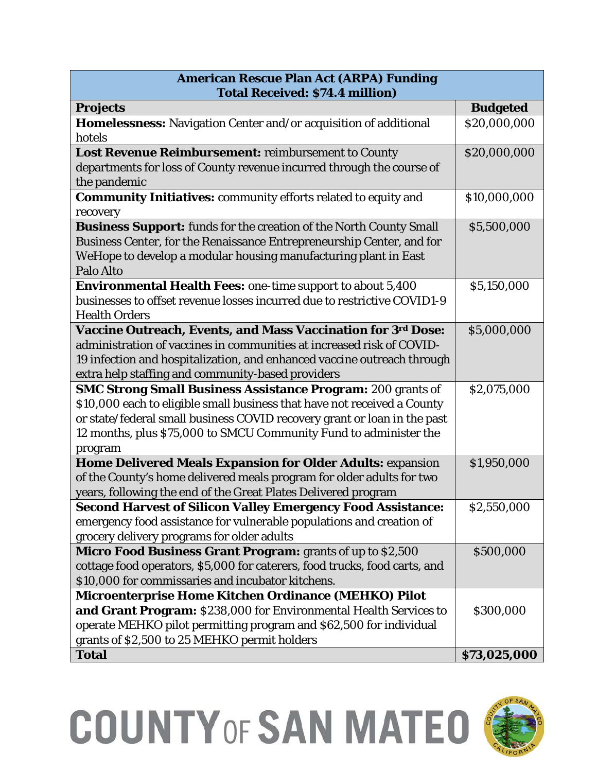| <b>American Rescue Plan Act (ARPA) Funding</b>                                    |                 |
|-----------------------------------------------------------------------------------|-----------------|
| <b>Total Received: \$74.4 million)</b>                                            |                 |
| <b>Projects</b>                                                                   | <b>Budgeted</b> |
| Homelessness: Navigation Center and/or acquisition of additional                  | \$20,000,000    |
| hotels                                                                            |                 |
| Lost Revenue Reimbursement: reimbursement to County                               | \$20,000,000    |
| departments for loss of County revenue incurred through the course of             |                 |
| the pandemic                                                                      |                 |
| <b>Community Initiatives: community efforts related to equity and</b><br>recovery | \$10,000,000    |
| <b>Business Support:</b> funds for the creation of the North County Small         | \$5,500,000     |
| Business Center, for the Renaissance Entrepreneurship Center, and for             |                 |
| WeHope to develop a modular housing manufacturing plant in East                   |                 |
| Palo Alto                                                                         |                 |
| <b>Environmental Health Fees: one-time support to about 5,400</b>                 | \$5,150,000     |
| businesses to offset revenue losses incurred due to restrictive COVID1-9          |                 |
| <b>Health Orders</b>                                                              |                 |
| <b>Vaccine Outreach, Events, and Mass Vaccination for 3rd Dose:</b>               | \$5,000,000     |
| administration of vaccines in communities at increased risk of COVID-             |                 |
| 19 infection and hospitalization, and enhanced vaccine outreach through           |                 |
| extra help staffing and community-based providers                                 |                 |
| <b>SMC Strong Small Business Assistance Program: 200 grants of</b>                | \$2,075,000     |
| \$10,000 each to eligible small business that have not received a County          |                 |
| or state/federal small business COVID recovery grant or loan in the past          |                 |
| 12 months, plus \$75,000 to SMCU Community Fund to administer the                 |                 |
| program                                                                           |                 |
| Home Delivered Meals Expansion for Older Adults: expansion                        | \$1,950,000     |
| of the County's home delivered meals program for older adults for two             |                 |
| years, following the end of the Great Plates Delivered program                    |                 |
| <b>Second Harvest of Silicon Valley Emergency Food Assistance:</b>                | \$2,550,000     |
| emergency food assistance for vulnerable populations and creation of              |                 |
| grocery delivery programs for older adults                                        |                 |
| Micro Food Business Grant Program: grants of up to \$2,500                        | \$500,000       |
| cottage food operators, \$5,000 for caterers, food trucks, food carts, and        |                 |
| \$10,000 for commissaries and incubator kitchens.                                 |                 |
| Microenterprise Home Kitchen Ordinance (MEHKO) Pilot                              |                 |
| and Grant Program: \$238,000 for Environmental Health Services to                 | \$300,000       |
| operate MEHKO pilot permitting program and \$62,500 for individual                |                 |
| grants of \$2,500 to 25 MEHKO permit holders                                      |                 |
| <b>Total</b>                                                                      | \$73,025,000    |

## **COUNTY OF SAN MATEO (**